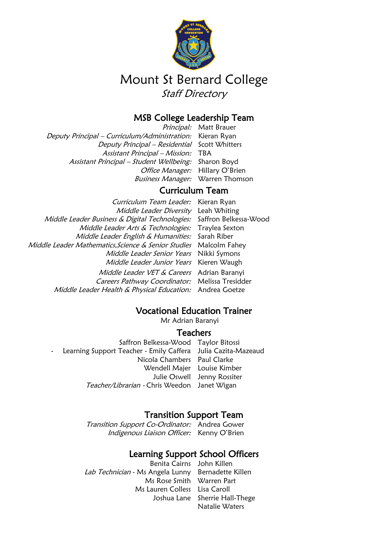

# Mount St Bernard College Staff Directory

# MSB College Leadership Team

Principal: Matt Brauer Deputy Principal – Curriculum/Administration: Kieran Ryan Deputy Principal – Residential Scott Whitters Assistant Principal - Mission: TBA Assistant Principal – Student Wellbeing: Sharon Boyd Office Manager: Hillary O'Brien Business Manager: Warren Thomson

# Curriculum Team

Curriculum Team Leader: Kieran Ryan Middle Leader Diversity Leah Whiting Middle Leader Business & Digital Technologies: Saffron Belkessa-Wood Middle Leader Arts & Technologies: Traylea Sexton Middle Leader English & Humanities: Sarah Riber Middle Leader Mathematics, Science & Senior Studies Malcolm Fahey Middle Leader Senior Years Nikki Symons Middle Leader Junior Years Kieren Waugh

> Middle Leader VET & Careers Adrian Baranyi Careers Pathway Coordinator: Melissa Tresidder Middle Leader Health & Physical Education: Andrea Goetze

# Vocational Education Trainer

Mr Adrian Baranyi

#### **Teachers**

Saffron Belkessa-Wood Taylor Bitossi Learning Support Teacher - Emily Caffera Julia Cazita-Mazeaud Nicola Chambers Paul Clarke Wendell Majer Louise Kimber Julie Oswell Jenny Rossiter Teacher/Librarian - Chris Weedon Janet Wigan

# Transition Support Team

Transition Support Co-Ordinator: Andrea Gower Indigenous Liaison Officer: Kenny O'Brien

# Learning Support School Officers

Benita Cairns John Killen Lab Technician - Ms Angela Lunny Bernadette Killen Ms Rose Smith Warren Part Ms Lauren Colless Lisa Caroll

Joshua Lane Sherrie Hall-Thege Natalie Waters